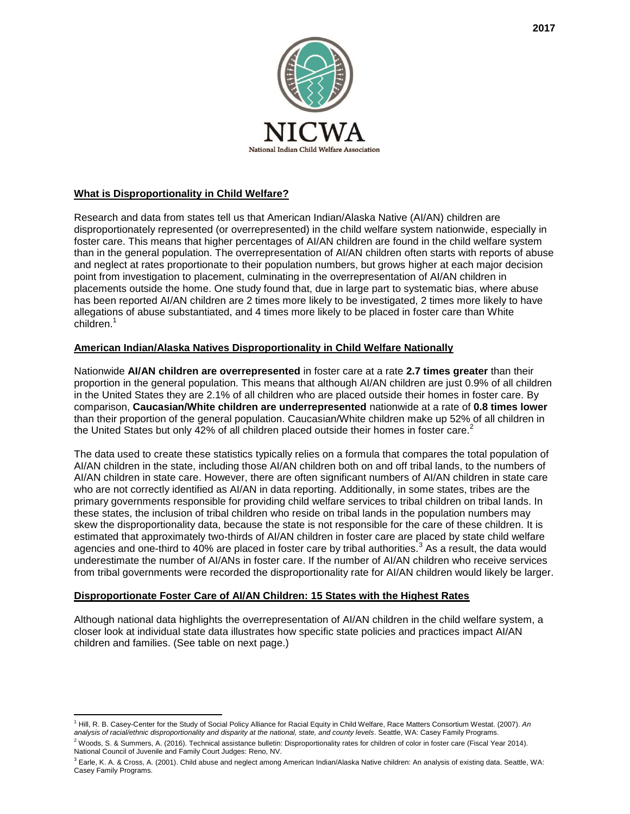

## **What is Disproportionality in Child Welfare?**

Research and data from states tell us that American Indian/Alaska Native (AI/AN) children are disproportionately represented (or overrepresented) in the child welfare system nationwide, especially in foster care. This means that higher percentages of AI/AN children are found in the child welfare system than in the general population. The overrepresentation of AI/AN children often starts with reports of abuse and neglect at rates proportionate to their population numbers, but grows higher at each major decision point from investigation to placement, culminating in the overrepresentation of AI/AN children in placements outside the home. One study found that, due in large part to systematic bias, where abuse has been reported AI/AN children are 2 times more likely to be investigated, 2 times more likely to have allegations of abuse substantiated, and 4 times more likely to be placed in foster care than White children.<sup>1</sup>

## **American Indian/Alaska Natives Disproportionality in Child Welfare Nationally**

Nationwide **AI/AN children are overrepresented** in foster care at a rate **2.7 times greater** than their proportion in the general population. This means that although AI/AN children are just 0.9% of all children in the United States they are 2.1% of all children who are placed outside their homes in foster care. By comparison, **Caucasian/White children are underrepresented** nationwide at a rate of **0.8 times lower** than their proportion of the general population. Caucasian/White children make up 52% of all children in the United States but only 42% of all children placed outside their homes in foster care.<sup>2</sup>

The data used to create these statistics typically relies on a formula that compares the total population of AI/AN children in the state, including those AI/AN children both on and off tribal lands, to the numbers of AI/AN children in state care. However, there are often significant numbers of AI/AN children in state care who are not correctly identified as AI/AN in data reporting. Additionally, in some states, tribes are the primary governments responsible for providing child welfare services to tribal children on tribal lands. In these states, the inclusion of tribal children who reside on tribal lands in the population numbers may skew the disproportionality data, because the state is not responsible for the care of these children. It is estimated that approximately two-thirds of AI/AN children in foster care are placed by state child welfare agencies and one-third to 40% are placed in foster care by tribal authorities.<sup>3</sup> As a result, the data would underestimate the number of AI/ANs in foster care. If the number of AI/AN children who receive services from tribal governments were recorded the disproportionality rate for AI/AN children would likely be larger.

## **Disproportionate Foster Care of AI/AN Children: 15 States with the Highest Rates**

Although national data highlights the overrepresentation of AI/AN children in the child welfare system, a closer look at individual state data illustrates how specific state policies and practices impact AI/AN children and families. (See table on next page.)

 $\overline{a}$ <sup>1</sup> Hill, R. B. Casey-Center for the Study of Social Policy Alliance for Racial Equity in Child Welfare, Race Matters Consortium Westat. (2007). *An analysis of racial/ethnic disproportionality and disparity at the national, state, and county levels*. Seattle, WA: Casey Family Programs.

 $2$  Woods, S. & Summers, A. (2016). Technical assistance bulletin: Disproportionality rates for children of color in foster care (Fiscal Year 2014). National Council of Juvenile and Family Court Judges: Reno, NV.

 $3$  Earle, K. A. & Cross, A. (2001). Child abuse and neglect among American Indian/Alaska Native children: An analysis of existing data. Seattle, WA: Casey Family Programs.